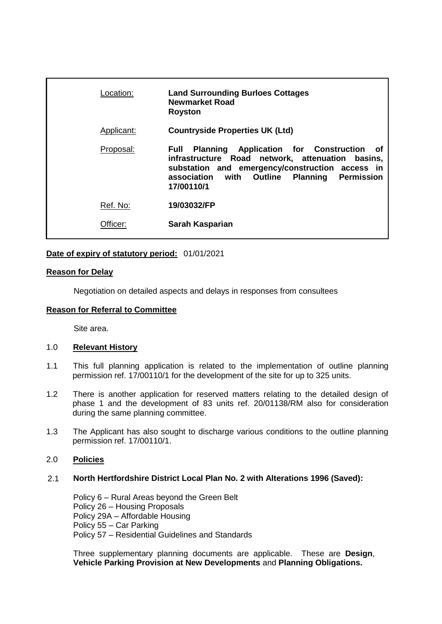| Location:  | <b>Land Surrounding Burloes Cottages</b><br><b>Newmarket Road</b><br><b>Royston</b>                                                                                                                                             |
|------------|---------------------------------------------------------------------------------------------------------------------------------------------------------------------------------------------------------------------------------|
| Applicant: | <b>Countryside Properties UK (Ltd)</b>                                                                                                                                                                                          |
| Proposal:  | <b>Planning Application for Construction</b><br>Full<br>of<br>infrastructure Road network, attenuation basins,<br>substation and emergency/construction access in<br>association with Outline Planning Permission<br>17/00110/1 |
| Ref. No:   | 19/03032/FP                                                                                                                                                                                                                     |
| Officer:   | Sarah Kasparian                                                                                                                                                                                                                 |
|            |                                                                                                                                                                                                                                 |

## **Date of expiry of statutory period:** 01/01/2021

### **Reason for Delay**

Negotiation on detailed aspects and delays in responses from consultees

### **Reason for Referral to Committee**

Site area.

#### 1.0 **Relevant History**

- 1.1 This full planning application is related to the implementation of outline planning permission ref. 17/00110/1 for the development of the site for up to 325 units.
- 1.2 There is another application for reserved matters relating to the detailed design of phase 1 and the development of 83 units ref. 20/01138/RM also for consideration during the same planning committee.
- 1.3 The Applicant has also sought to discharge various conditions to the outline planning permission ref. 17/00110/1.

# 2.0 **Policies**

#### 2.1 **North Hertfordshire District Local Plan No. 2 with Alterations 1996 (Saved):**

Policy 6 – Rural Areas beyond the Green Belt Policy 26 – Housing Proposals Policy 29A – Affordable Housing Policy 55 – Car Parking Policy 57 – Residential Guidelines and Standards

Three supplementary planning documents are applicable. These are **Design**, **Vehicle Parking Provision at New Developments** and **Planning Obligations.**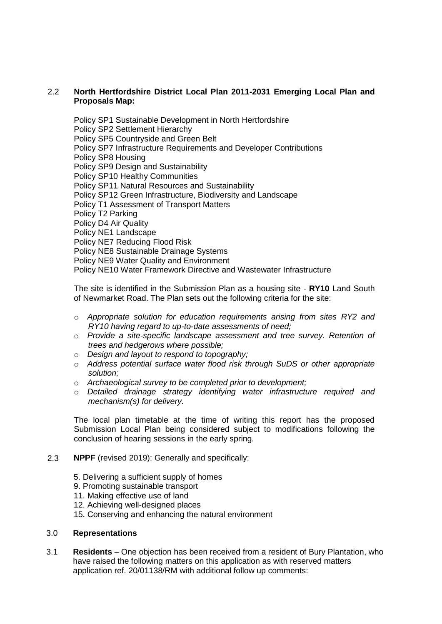## 2.2 **North Hertfordshire District Local Plan 2011-2031 Emerging Local Plan and Proposals Map:**

Policy SP1 Sustainable Development in North Hertfordshire Policy SP2 Settlement Hierarchy Policy SP5 Countryside and Green Belt Policy SP7 Infrastructure Requirements and Developer Contributions Policy SP8 Housing Policy SP9 Design and Sustainability Policy SP10 Healthy Communities Policy SP11 Natural Resources and Sustainability Policy SP12 Green Infrastructure, Biodiversity and Landscape Policy T1 Assessment of Transport Matters Policy T2 Parking Policy D4 Air Quality Policy NE1 Landscape Policy NE7 Reducing Flood Risk Policy NE8 Sustainable Drainage Systems Policy NE9 Water Quality and Environment Policy NE10 Water Framework Directive and Wastewater Infrastructure

The site is identified in the Submission Plan as a housing site - **RY10** Land South of Newmarket Road. The Plan sets out the following criteria for the site:

- o *Appropriate solution for education requirements arising from sites RY2 and RY10 having regard to up-to-date assessments of need;*
- o *Provide a site-specific landscape assessment and tree survey. Retention of trees and hedgerows where possible;*
- o *Design and layout to respond to topography;*
- o *Address potential surface water flood risk through SuDS or other appropriate solution;*
- o *Archaeological survey to be completed prior to development;*
- o *Detailed drainage strategy identifying water infrastructure required and mechanism(s) for delivery.*

The local plan timetable at the time of writing this report has the proposed Submission Local Plan being considered subject to modifications following the conclusion of hearing sessions in the early spring.

#### 2.3 **NPPF** (revised 2019): Generally and specifically:

- 5. Delivering a sufficient supply of homes
- 9. Promoting sustainable transport
- 11. Making effective use of land
- 12. Achieving well-designed places
- 15. Conserving and enhancing the natural environment

#### 3.0 **Representations**

3.1 **Residents** – One objection has been received from a resident of Bury Plantation, who have raised the following matters on this application as with reserved matters application ref. 20/01138/RM with additional follow up comments: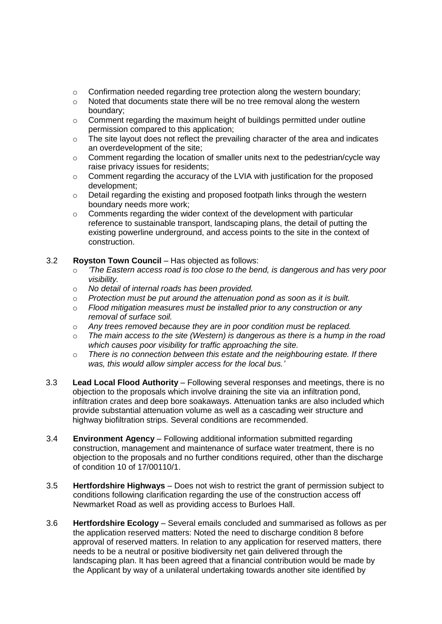- $\circ$  Confirmation needed regarding tree protection along the western boundary;
- o Noted that documents state there will be no tree removal along the western boundary;
- $\circ$  Comment regarding the maximum height of buildings permitted under outline permission compared to this application;
- $\circ$  The site layout does not reflect the prevailing character of the area and indicates an overdevelopment of the site;
- o Comment regarding the location of smaller units next to the pedestrian/cycle way raise privacy issues for residents;
- o Comment regarding the accuracy of the LVIA with justification for the proposed development;
- $\circ$  Detail regarding the existing and proposed footpath links through the western boundary needs more work;
- $\circ$  Comments regarding the wider context of the development with particular reference to sustainable transport, landscaping plans, the detail of putting the existing powerline underground, and access points to the site in the context of construction.

## 3.2 **Royston Town Council** – Has objected as follows:

- o *'The Eastern access road is too close to the bend, is dangerous and has very poor visibility.*
- o *No detail of internal roads has been provided.*
- o *Protection must be put around the attenuation pond as soon as it is built.*
- o *Flood mitigation measures must be installed prior to any construction or any removal of surface soil.*
- o *Any trees removed because they are in poor condition must be replaced.*
- o *The main access to the site (Western) is dangerous as there is a hump in the road which causes poor visibility for traffic approaching the site.*
- o *There is no connection between this estate and the neighbouring estate. If there was, this would allow simpler access for the local bus.'*
- 3.3 **Lead Local Flood Authority** Following several responses and meetings, there is no objection to the proposals which involve draining the site via an infiltration pond, infiltration crates and deep bore soakaways. Attenuation tanks are also included which provide substantial attenuation volume as well as a cascading weir structure and highway biofiltration strips. Several conditions are recommended.
- 3.4 **Environment Agency** Following additional information submitted regarding construction, management and maintenance of surface water treatment, there is no objection to the proposals and no further conditions required, other than the discharge of condition 10 of 17/00110/1.
- 3.5 **Hertfordshire Highways** Does not wish to restrict the grant of permission subject to conditions following clarification regarding the use of the construction access off Newmarket Road as well as providing access to Burloes Hall.
- 3.6 **Hertfordshire Ecology** Several emails concluded and summarised as follows as per the application reserved matters: Noted the need to discharge condition 8 before approval of reserved matters. In relation to any application for reserved matters, there needs to be a neutral or positive biodiversity net gain delivered through the landscaping plan. It has been agreed that a financial contribution would be made by the Applicant by way of a unilateral undertaking towards another site identified by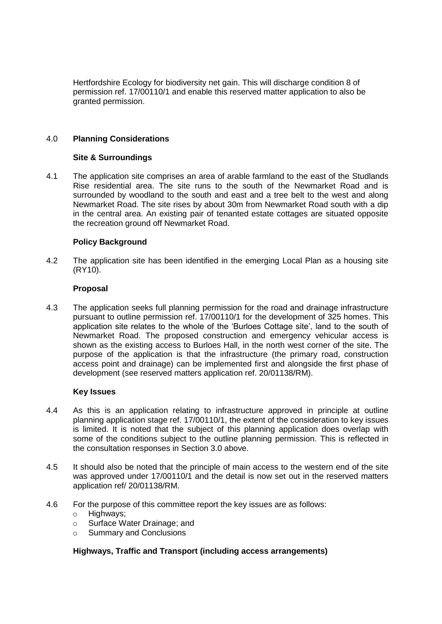Hertfordshire Ecology for biodiversity net gain. This will discharge condition 8 of permission ref. 17/00110/1 and enable this reserved matter application to also be granted permission.

## 4.0 **Planning Considerations**

### **Site & Surroundings**

4.1 The application site comprises an area of arable farmland to the east of the Studlands Rise residential area. The site runs to the south of the Newmarket Road and is surrounded by woodland to the south and east and a tree belt to the west and along Newmarket Road. The site rises by about 30m from Newmarket Road south with a dip in the central area. An existing pair of tenanted estate cottages are situated opposite the recreation ground off Newmarket Road.

## **Policy Background**

4.2 The application site has been identified in the emerging Local Plan as a housing site (RY10).

### **Proposal**

4.3 The application seeks full planning permission for the road and drainage infrastructure pursuant to outline permission ref. 17/00110/1 for the development of 325 homes. This application site relates to the whole of the 'Burloes Cottage site', land to the south of Newmarket Road. The proposed construction and emergency vehicular access is shown as the existing access to Burloes Hall, in the north west corner of the site. The purpose of the application is that the infrastructure (the primary road, construction access point and drainage) can be implemented first and alongside the first phase of development (see reserved matters application ref. 20/01138/RM).

## **Key Issues**

- 4.4 As this is an application relating to infrastructure approved in principle at outline planning application stage ref. 17/00110/1, the extent of the consideration to key issues is limited. It is noted that the subject of this planning application does overlap with some of the conditions subject to the outline planning permission. This is reflected in the consultation responses in Section 3.0 above.
- 4.5 It should also be noted that the principle of main access to the western end of the site was approved under 17/00110/1 and the detail is now set out in the reserved matters application ref/ 20/01138/RM.
- 4.6 For the purpose of this committee report the key issues are as follows:
	- o Highways;
	- o Surface Water Drainage; and
	- o Summary and Conclusions

## **Highways, Traffic and Transport (including access arrangements)**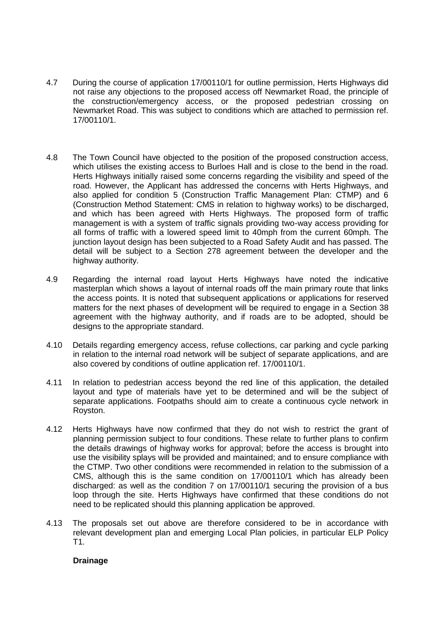- 4.7 During the course of application 17/00110/1 for outline permission, Herts Highways did not raise any objections to the proposed access off Newmarket Road, the principle of the construction/emergency access, or the proposed pedestrian crossing on Newmarket Road. This was subject to conditions which are attached to permission ref. 17/00110/1.
- 4.8 The Town Council have objected to the position of the proposed construction access, which utilises the existing access to Burloes Hall and is close to the bend in the road. Herts Highways initially raised some concerns regarding the visibility and speed of the road. However, the Applicant has addressed the concerns with Herts Highways, and also applied for condition 5 (Construction Traffic Management Plan: CTMP) and 6 (Construction Method Statement: CMS in relation to highway works) to be discharged, and which has been agreed with Herts Highways. The proposed form of traffic management is with a system of traffic signals providing two-way access providing for all forms of traffic with a lowered speed limit to 40mph from the current 60mph. The junction layout design has been subjected to a Road Safety Audit and has passed. The detail will be subject to a Section 278 agreement between the developer and the highway authority.
- 4.9 Regarding the internal road layout Herts Highways have noted the indicative masterplan which shows a layout of internal roads off the main primary route that links the access points. It is noted that subsequent applications or applications for reserved matters for the next phases of development will be required to engage in a Section 38 agreement with the highway authority, and if roads are to be adopted, should be designs to the appropriate standard.
- 4.10 Details regarding emergency access, refuse collections, car parking and cycle parking in relation to the internal road network will be subject of separate applications, and are also covered by conditions of outline application ref. 17/00110/1.
- 4.11 In relation to pedestrian access beyond the red line of this application, the detailed layout and type of materials have yet to be determined and will be the subject of separate applications. Footpaths should aim to create a continuous cycle network in Royston.
- 4.12 Herts Highways have now confirmed that they do not wish to restrict the grant of planning permission subject to four conditions. These relate to further plans to confirm the details drawings of highway works for approval; before the access is brought into use the visibility splays will be provided and maintained; and to ensure compliance with the CTMP. Two other conditions were recommended in relation to the submission of a CMS, although this is the same condition on 17/00110/1 which has already been discharged: as well as the condition 7 on 17/00110/1 securing the provision of a bus loop through the site. Herts Highways have confirmed that these conditions do not need to be replicated should this planning application be approved.
- 4.13 The proposals set out above are therefore considered to be in accordance with relevant development plan and emerging Local Plan policies, in particular ELP Policy T1.

## **Drainage**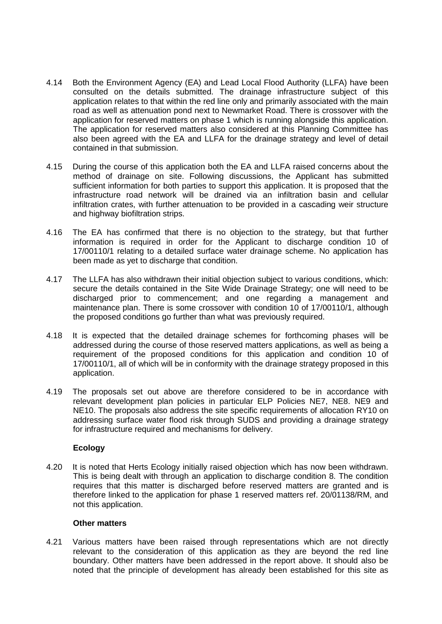- 4.14 Both the Environment Agency (EA) and Lead Local Flood Authority (LLFA) have been consulted on the details submitted. The drainage infrastructure subject of this application relates to that within the red line only and primarily associated with the main road as well as attenuation pond next to Newmarket Road. There is crossover with the application for reserved matters on phase 1 which is running alongside this application. The application for reserved matters also considered at this Planning Committee has also been agreed with the EA and LLFA for the drainage strategy and level of detail contained in that submission.
- 4.15 During the course of this application both the EA and LLFA raised concerns about the method of drainage on site. Following discussions, the Applicant has submitted sufficient information for both parties to support this application. It is proposed that the infrastructure road network will be drained via an infiltration basin and cellular infiltration crates, with further attenuation to be provided in a cascading weir structure and highway biofiltration strips.
- 4.16 The EA has confirmed that there is no objection to the strategy, but that further information is required in order for the Applicant to discharge condition 10 of 17/00110/1 relating to a detailed surface water drainage scheme. No application has been made as yet to discharge that condition.
- 4.17 The LLFA has also withdrawn their initial objection subject to various conditions, which: secure the details contained in the Site Wide Drainage Strategy; one will need to be discharged prior to commencement; and one regarding a management and maintenance plan. There is some crossover with condition 10 of 17/00110/1, although the proposed conditions go further than what was previously required.
- 4.18 It is expected that the detailed drainage schemes for forthcoming phases will be addressed during the course of those reserved matters applications, as well as being a requirement of the proposed conditions for this application and condition 10 of 17/00110/1, all of which will be in conformity with the drainage strategy proposed in this application.
- 4.19 The proposals set out above are therefore considered to be in accordance with relevant development plan policies in particular ELP Policies NE7, NE8. NE9 and NE10. The proposals also address the site specific requirements of allocation RY10 on addressing surface water flood risk through SUDS and providing a drainage strategy for infrastructure required and mechanisms for delivery.

## **Ecology**

4.20 It is noted that Herts Ecology initially raised objection which has now been withdrawn. This is being dealt with through an application to discharge condition 8. The condition requires that this matter is discharged before reserved matters are granted and is therefore linked to the application for phase 1 reserved matters ref. 20/01138/RM, and not this application.

#### **Other matters**

4.21 Various matters have been raised through representations which are not directly relevant to the consideration of this application as they are beyond the red line boundary. Other matters have been addressed in the report above. It should also be noted that the principle of development has already been established for this site as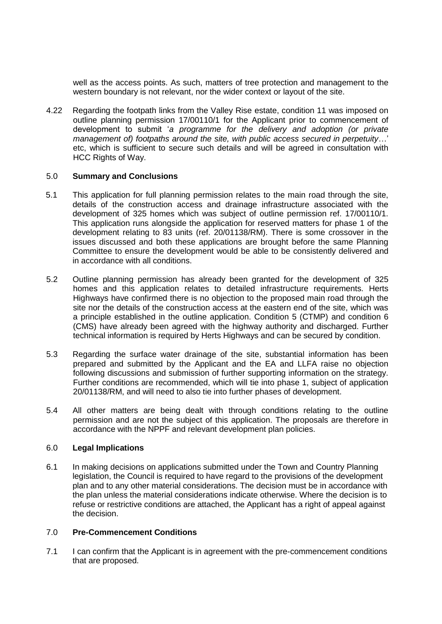well as the access points. As such, matters of tree protection and management to the western boundary is not relevant, nor the wider context or layout of the site.

4.22 Regarding the footpath links from the Valley Rise estate, condition 11 was imposed on outline planning permission 17/00110/1 for the Applicant prior to commencement of development to submit '*a programme for the delivery and adoption (or private management of) footpaths around the site, with public access secured in perpetuity*…' etc, which is sufficient to secure such details and will be agreed in consultation with HCC Rights of Way.

### 5.0 **Summary and Conclusions**

- 5.1 This application for full planning permission relates to the main road through the site, details of the construction access and drainage infrastructure associated with the development of 325 homes which was subject of outline permission ref. 17/00110/1. This application runs alongside the application for reserved matters for phase 1 of the development relating to 83 units (ref. 20/01138/RM). There is some crossover in the issues discussed and both these applications are brought before the same Planning Committee to ensure the development would be able to be consistently delivered and in accordance with all conditions.
- 5.2 Outline planning permission has already been granted for the development of 325 homes and this application relates to detailed infrastructure requirements. Herts Highways have confirmed there is no objection to the proposed main road through the site nor the details of the construction access at the eastern end of the site, which was a principle established in the outline application. Condition 5 (CTMP) and condition 6 (CMS) have already been agreed with the highway authority and discharged. Further technical information is required by Herts Highways and can be secured by condition.
- 5.3 Regarding the surface water drainage of the site, substantial information has been prepared and submitted by the Applicant and the EA and LLFA raise no objection following discussions and submission of further supporting information on the strategy. Further conditions are recommended, which will tie into phase 1, subject of application 20/01138/RM, and will need to also tie into further phases of development.
- 5.4 All other matters are being dealt with through conditions relating to the outline permission and are not the subject of this application. The proposals are therefore in accordance with the NPPF and relevant development plan policies.

## 6.0 **Legal Implications**

6.1 In making decisions on applications submitted under the Town and Country Planning legislation, the Council is required to have regard to the provisions of the development plan and to any other material considerations. The decision must be in accordance with the plan unless the material considerations indicate otherwise. Where the decision is to refuse or restrictive conditions are attached, the Applicant has a right of appeal against the decision.

## 7.0 **Pre-Commencement Conditions**

7.1 I can confirm that the Applicant is in agreement with the pre-commencement conditions that are proposed.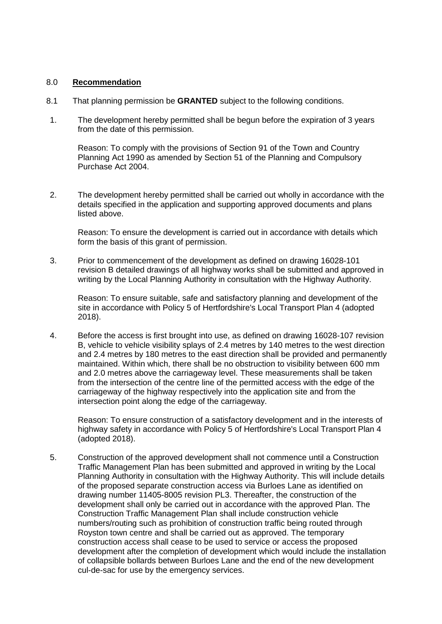### 8.0 **Recommendation**

- 8.1 That planning permission be **GRANTED** subject to the following conditions.
- 1. The development hereby permitted shall be begun before the expiration of 3 years from the date of this permission.

Reason: To comply with the provisions of Section 91 of the Town and Country Planning Act 1990 as amended by Section 51 of the Planning and Compulsory Purchase Act 2004.

2. The development hereby permitted shall be carried out wholly in accordance with the details specified in the application and supporting approved documents and plans listed above.

Reason: To ensure the development is carried out in accordance with details which form the basis of this grant of permission.

3. Prior to commencement of the development as defined on drawing 16028-101 revision B detailed drawings of all highway works shall be submitted and approved in writing by the Local Planning Authority in consultation with the Highway Authority.

Reason: To ensure suitable, safe and satisfactory planning and development of the site in accordance with Policy 5 of Hertfordshire's Local Transport Plan 4 (adopted 2018).

4. Before the access is first brought into use, as defined on drawing 16028-107 revision B, vehicle to vehicle visibility splays of 2.4 metres by 140 metres to the west direction and 2.4 metres by 180 metres to the east direction shall be provided and permanently maintained. Within which, there shall be no obstruction to visibility between 600 mm and 2.0 metres above the carriageway level. These measurements shall be taken from the intersection of the centre line of the permitted access with the edge of the carriageway of the highway respectively into the application site and from the intersection point along the edge of the carriageway.

Reason: To ensure construction of a satisfactory development and in the interests of highway safety in accordance with Policy 5 of Hertfordshire's Local Transport Plan 4 (adopted 2018).

5. Construction of the approved development shall not commence until a Construction Traffic Management Plan has been submitted and approved in writing by the Local Planning Authority in consultation with the Highway Authority. This will include details of the proposed separate construction access via Burloes Lane as identified on drawing number 11405-8005 revision PL3. Thereafter, the construction of the development shall only be carried out in accordance with the approved Plan. The Construction Traffic Management Plan shall include construction vehicle numbers/routing such as prohibition of construction traffic being routed through Royston town centre and shall be carried out as approved. The temporary construction access shall cease to be used to service or access the proposed development after the completion of development which would include the installation of collapsible bollards between Burloes Lane and the end of the new development cul-de-sac for use by the emergency services.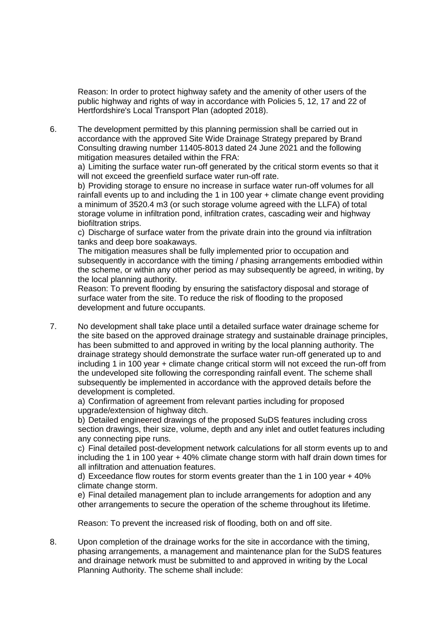Reason: In order to protect highway safety and the amenity of other users of the public highway and rights of way in accordance with Policies 5, 12, 17 and 22 of Hertfordshire's Local Transport Plan (adopted 2018).

6. The development permitted by this planning permission shall be carried out in accordance with the approved Site Wide Drainage Strategy prepared by Brand Consulting drawing number 11405-8013 dated 24 June 2021 and the following mitigation measures detailed within the FRA:

a) Limiting the surface water run-off generated by the critical storm events so that it will not exceed the greenfield surface water run-off rate.

b) Providing storage to ensure no increase in surface water run-off volumes for all rainfall events up to and including the 1 in 100 year + climate change event providing a minimum of 3520.4 m3 (or such storage volume agreed with the LLFA) of total storage volume in infiltration pond, infiltration crates, cascading weir and highway biofiltration strips.

c) Discharge of surface water from the private drain into the ground via infiltration tanks and deep bore soakaways.

The mitigation measures shall be fully implemented prior to occupation and subsequently in accordance with the timing / phasing arrangements embodied within the scheme, or within any other period as may subsequently be agreed, in writing, by the local planning authority.

Reason: To prevent flooding by ensuring the satisfactory disposal and storage of surface water from the site. To reduce the risk of flooding to the proposed development and future occupants.

7. No development shall take place until a detailed surface water drainage scheme for the site based on the approved drainage strategy and sustainable drainage principles, has been submitted to and approved in writing by the local planning authority. The drainage strategy should demonstrate the surface water run-off generated up to and including 1 in 100 year + climate change critical storm will not exceed the run-off from the undeveloped site following the corresponding rainfall event. The scheme shall subsequently be implemented in accordance with the approved details before the development is completed.

a) Confirmation of agreement from relevant parties including for proposed upgrade/extension of highway ditch.

b) Detailed engineered drawings of the proposed SuDS features including cross section drawings, their size, volume, depth and any inlet and outlet features including any connecting pipe runs.

c) Final detailed post-development network calculations for all storm events up to and including the 1 in 100 year + 40% climate change storm with half drain down times for all infiltration and attenuation features.

d) Exceedance flow routes for storm events greater than the 1 in 100 year + 40% climate change storm.

e) Final detailed management plan to include arrangements for adoption and any other arrangements to secure the operation of the scheme throughout its lifetime.

Reason: To prevent the increased risk of flooding, both on and off site.

8. Upon completion of the drainage works for the site in accordance with the timing, phasing arrangements, a management and maintenance plan for the SuDS features and drainage network must be submitted to and approved in writing by the Local Planning Authority. The scheme shall include: